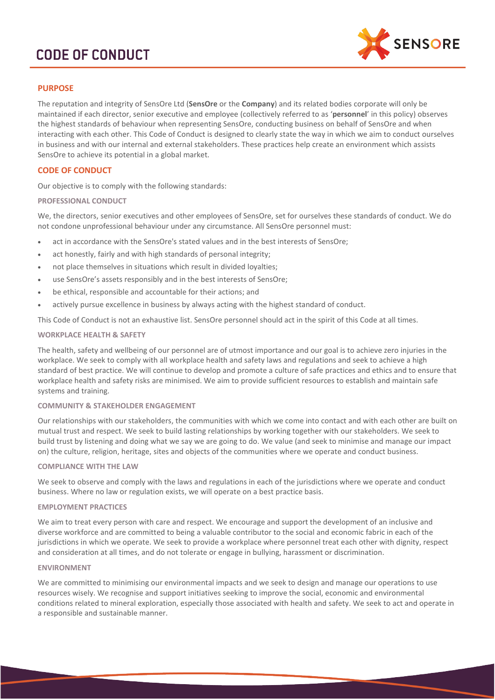

# **PURPOSE**

The reputation and integrity of SensOre Ltd (**SensOre** or the **Company**) and its related bodies corporate will only be maintained if each director, senior executive and employee (collectively referred to as '**personnel**' in this policy) observes the highest standards of behaviour when representing SensOre, conducting business on behalf of SensOre and when interacting with each other. This Code of Conduct is designed to clearly state the way in which we aim to conduct ourselves in business and with our internal and external stakeholders. These practices help create an environment which assists SensOre to achieve its potential in a global market.

# **CODE OF CONDUCT**

Our objective is to comply with the following standards:

#### **PROFESSIONAL CONDUCT**

We, the directors, senior executives and other employees of SensOre, set for ourselves these standards of conduct. We do not condone unprofessional behaviour under any circumstance. All SensOre personnel must:

- act in accordance with the SensOre's stated values and in the best interests of SensOre;
- act honestly, fairly and with high standards of personal integrity;
- not place themselves in situations which result in divided loyalties;
- use SensOre's assets responsibly and in the best interests of SensOre;
- be ethical, responsible and accountable for their actions; and
- actively pursue excellence in business by always acting with the highest standard of conduct.

This Code of Conduct is not an exhaustive list. SensOre personnel should act in the spirit of this Code at all times.

#### **WORKPLACE HEALTH & SAFETY**

The health, safety and wellbeing of our personnel are of utmost importance and our goal is to achieve zero injuries in the workplace. We seek to comply with all workplace health and safety laws and regulations and seek to achieve a high standard of best practice. We will continue to develop and promote a culture of safe practices and ethics and to ensure that workplace health and safety risks are minimised. We aim to provide sufficient resources to establish and maintain safe systems and training.

### **COMMUNITY & STAKEHOLDER ENGAGEMENT**

Our relationships with our stakeholders, the communities with which we come into contact and with each other are built on mutual trust and respect. We seek to build lasting relationships by working together with our stakeholders. We seek to build trust by listening and doing what we say we are going to do. We value (and seek to minimise and manage our impact on) the culture, religion, heritage, sites and objects of the communities where we operate and conduct business.

#### **COMPLIANCE WITH THE LAW**

We seek to observe and comply with the laws and regulations in each of the jurisdictions where we operate and conduct business. Where no law or regulation exists, we will operate on a best practice basis.

#### **EMPLOYMENT PRACTICES**

We aim to treat every person with care and respect. We encourage and support the development of an inclusive and diverse workforce and are committed to being a valuable contributor to the social and economic fabric in each of the jurisdictions in which we operate. We seek to provide a workplace where personnel treat each other with dignity, respect and consideration at all times, and do not tolerate or engage in bullying, harassment or discrimination.

#### **ENVIRONMENT**

We are committed to minimising our environmental impacts and we seek to design and manage our operations to use resources wisely. We recognise and support initiatives seeking to improve the social, economic and environmental conditions related to mineral exploration, especially those associated with health and safety. We seek to act and operate in a responsible and sustainable manner.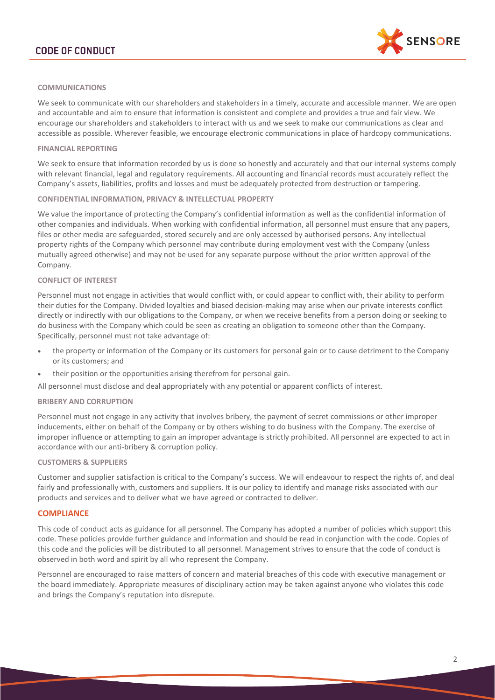

#### **COMMUNICATIONS**

We seek to communicate with our shareholders and stakeholders in a timely, accurate and accessible manner. We are open and accountable and aim to ensure that information is consistent and complete and provides a true and fair view. We encourage our shareholders and stakeholders to interact with us and we seek to make our communications as clear and accessible as possible. Wherever feasible, we encourage electronic communications in place of hardcopy communications.

#### **FINANCIAL REPORTING**

We seek to ensure that information recorded by us is done so honestly and accurately and that our internal systems comply with relevant financial, legal and regulatory requirements. All accounting and financial records must accurately reflect the Company's assets, liabilities, profits and losses and must be adequately protected from destruction or tampering.

### **CONFIDENTIAL INFORMATION, PRIVACY & INTELLECTUAL PROPERTY**

We value the importance of protecting the Company's confidential information as well as the confidential information of other companies and individuals. When working with confidential information, all personnel must ensure that any papers, files or other media are safeguarded, stored securely and are only accessed by authorised persons. Any intellectual property rights of the Company which personnel may contribute during employment vest with the Company (unless mutually agreed otherwise) and may not be used for any separate purpose without the prior written approval of the Company.

#### **CONFLICT OF INTEREST**

Personnel must not engage in activities that would conflict with, or could appear to conflict with, their ability to perform their duties for the Company. Divided loyalties and biased decision-making may arise when our private interests conflict directly or indirectly with our obligations to the Company, or when we receive benefits from a person doing or seeking to do business with the Company which could be seen as creating an obligation to someone other than the Company. Specifically, personnel must not take advantage of:

- the property or information of the Company or its customers for personal gain or to cause detriment to the Company or its customers; and
- their position or the opportunities arising therefrom for personal gain.

All personnel must disclose and deal appropriately with any potential or apparent conflicts of interest.

#### **BRIBERY AND CORRUPTION**

Personnel must not engage in any activity that involves bribery, the payment of secret commissions or other improper inducements, either on behalf of the Company or by others wishing to do business with the Company. The exercise of improper influence or attempting to gain an improper advantage is strictly prohibited. All personnel are expected to act in accordance with our anti-bribery & corruption policy.

#### **CUSTOMERS & SUPPLIERS**

Customer and supplier satisfaction is critical to the Company's success. We will endeavour to respect the rights of, and deal fairly and professionally with, customers and suppliers. It is our policy to identify and manage risks associated with our products and services and to deliver what we have agreed or contracted to deliver.

## **COMPLIANCE**

This code of conduct acts as guidance for all personnel. The Company has adopted a number of policies which support this code. These policies provide further guidance and information and should be read in conjunction with the code. Copies of this code and the policies will be distributed to all personnel. Management strives to ensure that the code of conduct is observed in both word and spirit by all who represent the Company.

Personnel are encouraged to raise matters of concern and material breaches of this code with executive management or the board immediately. Appropriate measures of disciplinary action may be taken against anyone who violates this code and brings the Company's reputation into disrepute.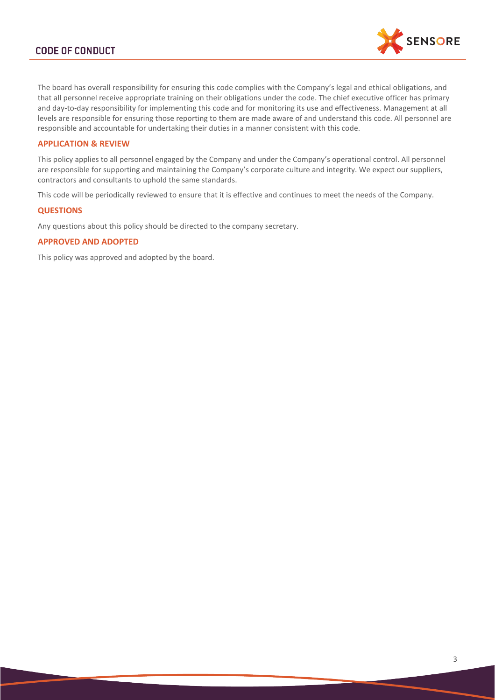

The board has overall responsibility for ensuring this code complies with the Company's legal and ethical obligations, and that all personnel receive appropriate training on their obligations under the code. The chief executive officer has primary and day-to-day responsibility for implementing this code and for monitoring its use and effectiveness. Management at all levels are responsible for ensuring those reporting to them are made aware of and understand this code. All personnel are responsible and accountable for undertaking their duties in a manner consistent with this code.

# **APPLICATION & REVIEW**

This policy applies to all personnel engaged by the Company and under the Company's operational control. All personnel are responsible for supporting and maintaining the Company's corporate culture and integrity. We expect our suppliers, contractors and consultants to uphold the same standards.

This code will be periodically reviewed to ensure that it is effective and continues to meet the needs of the Company.

#### **QUESTIONS**

Any questions about this policy should be directed to the company secretary.

## **APPROVED AND ADOPTED**

This policy was approved and adopted by the board.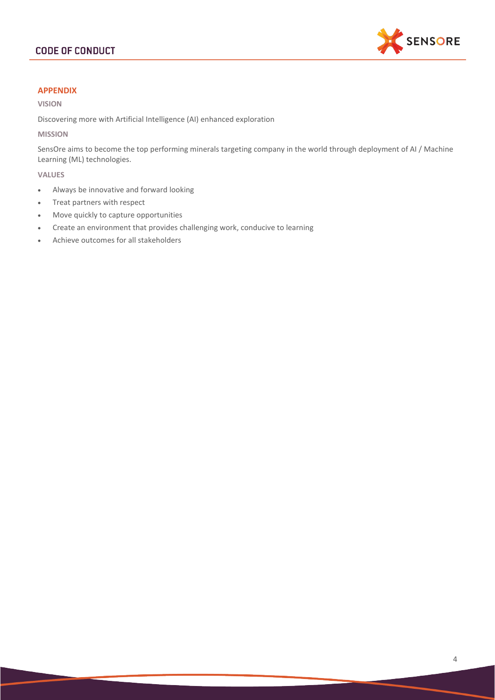

# **APPENDIX**

## **VISION**

Discovering more with Artificial Intelligence (AI) enhanced exploration

# **MISSION**

SensOre aims to become the top performing minerals targeting company in the world through deployment of AI / Machine Learning (ML) technologies.

#### **VALUES**

- Always be innovative and forward looking
- Treat partners with respect
- Move quickly to capture opportunities
- Create an environment that provides challenging work, conducive to learning
- Achieve outcomes for all stakeholders